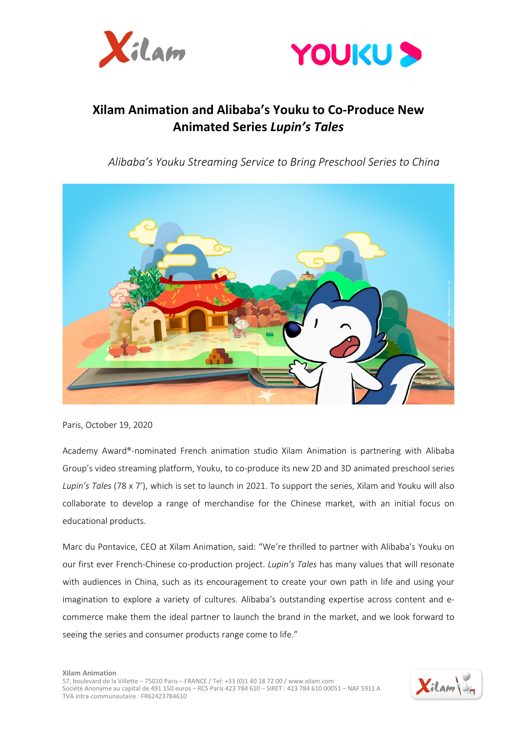



# **Xilam Animation and Alibaba's Youku to Co-Produce New Animated Series** *Lupin's Tales*

*Alibaba's Youku Streaming Service to Bring Preschool Series to China*



Paris, October 19, 2020

Academy Award®-nominated French animation studio Xilam Animation is partnering with Alibaba Group's video streaming platform, Youku, to co-produce its new 2D and 3D animated preschool series *Lupin's Tales* (78 x 7'), which is set to launch in 2021. To support the series, Xilam and Youku will also collaborate to develop a range of merchandise for the Chinese market, with an initial focus on educational products.

Marc du Pontavice, CEO at Xilam Animation, said: "We're thrilled to partner with Alibaba's Youku on our first ever French-Chinese co-production project. *Lupin's Tales* has many values that will resonate with audiences in China, such as its encouragement to create your own path in life and using your imagination to explore a variety of cultures. Alibaba's outstanding expertise across content and ecommerce make them the ideal partner to launch the brand in the market, and we look forward to seeing the series and consumer products range come to life."